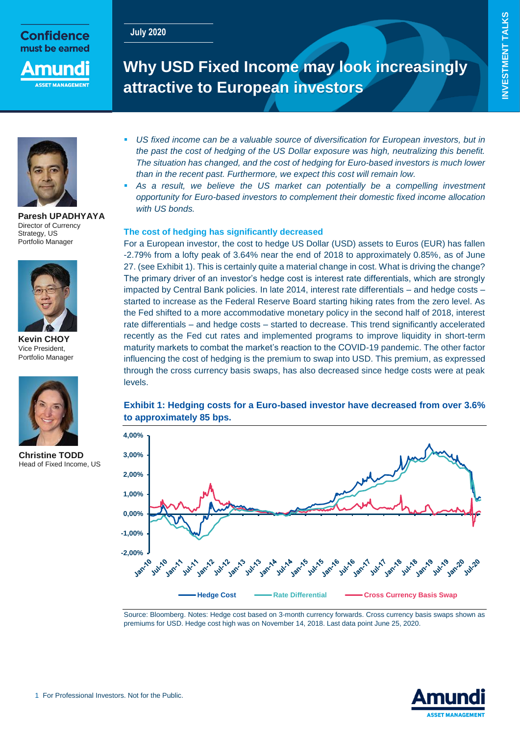# **INVESTMENT TALKS INVESTMENT TALKS**

**July 2020**



mun

## **Why USD Fixed Income may look increasingly attractive to European investors**



**Paresh UPADHYAYA** Director of Currency Strategy, US Portfolio Manager



**Kevin CHOY** Vice President, Portfolio Manager



**Christine TODD** Head of Fixed Income, US

- *US fixed income can be a valuable source of diversification for European investors, but in the past the cost of hedging of the US Dollar exposure was high, neutralizing this benefit. The situation has changed, and the cost of hedging for Euro-based investors is much lower than in the recent past. Furthermore, we expect this cost will remain low.*
- As a result, we believe the US market can potentially be a compelling investment *opportunity for Euro-based investors to complement their domestic fixed income allocation with US bonds.*

#### **The cost of hedging has significantly decreased**

For a European investor, the cost to hedge US Dollar (USD) assets to Euros (EUR) has fallen -2.79% from a lofty peak of 3.64% near the end of 2018 to approximately 0.85%, as of June 27. (see Exhibit 1). This is certainly quite a material change in cost. What is driving the change? The primary driver of an investor's hedge cost is interest rate differentials, which are strongly impacted by Central Bank policies. In late 2014, interest rate differentials – and hedge costs – started to increase as the Federal Reserve Board starting hiking rates from the zero level. As the Fed shifted to a more accommodative monetary policy in the second half of 2018, interest rate differentials – and hedge costs – started to decrease. This trend significantly accelerated recently as the Fed cut rates and implemented programs to improve liquidity in short-term maturity markets to combat the market's reaction to the COVID-19 pandemic. The other factor influencing the cost of hedging is the premium to swap into USD. This premium, as expressed through the cross currency basis swaps, has also decreased since hedge costs were at peak levels.

#### **Exhibit 1: Hedging costs for a Euro-based investor have decreased from over 3.6% to approximately 85 bps.**



Source: Bloomberg. Notes: Hedge cost based on 3-month currency forwards. Cross currency basis swaps shown as premiums for USD. Hedge cost high was on November 14, 2018. Last data point June 25, 2020.

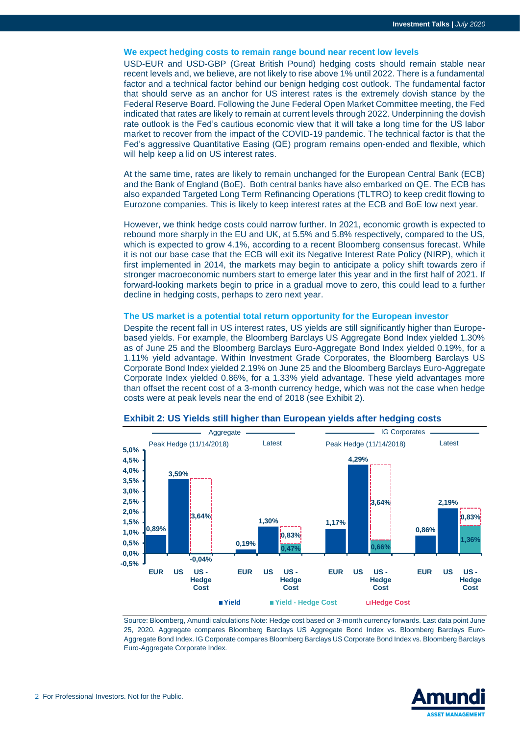#### **We expect hedging costs to remain range bound near recent low levels**

USD-EUR and USD-GBP (Great British Pound) hedging costs should remain stable near recent levels and, we believe, are not likely to rise above 1% until 2022. There is a fundamental factor and a technical factor behind our benign hedging cost outlook. The fundamental factor that should serve as an anchor for US interest rates is the extremely dovish stance by the Federal Reserve Board. Following the June Federal Open Market Committee meeting, the Fed indicated that rates are likely to remain at current levels through 2022. Underpinning the dovish rate outlook is the Fed's cautious economic view that it will take a long time for the US labor market to recover from the impact of the COVID-19 pandemic. The technical factor is that the Fed's aggressive Quantitative Easing (QE) program remains open-ended and flexible, which will help keep a lid on US interest rates.

At the same time, rates are likely to remain unchanged for the European Central Bank (ECB) and the Bank of England (BoE). Both central banks have also embarked on QE. The ECB has also expanded Targeted Long Term Refinancing Operations (TLTRO) to keep credit flowing to Eurozone companies. This is likely to keep interest rates at the ECB and BoE low next year.

However, we think hedge costs could narrow further. In 2021, economic growth is expected to rebound more sharply in the EU and UK, at 5.5% and 5.8% respectively, compared to the US, which is expected to grow 4.1%, according to a recent Bloomberg consensus forecast. While it is not our base case that the ECB will exit its Negative Interest Rate Policy (NIRP), which it first implemented in 2014, the markets may begin to anticipate a policy shift towards zero if stronger macroeconomic numbers start to emerge later this year and in the first half of 2021. If forward-looking markets begin to price in a gradual move to zero, this could lead to a further decline in hedging costs, perhaps to zero next year.

#### **The US market is a potential total return opportunity for the European investor**

Despite the recent fall in US interest rates, US yields are still significantly higher than Europebased yields. For example, the Bloomberg Barclays US Aggregate Bond Index yielded 1.30% as of June 25 and the Bloomberg Barclays Euro-Aggregate Bond Index yielded 0.19%, for a 1.11% yield advantage. Within Investment Grade Corporates, the Bloomberg Barclays US Corporate Bond Index yielded 2.19% on June 25 and the Bloomberg Barclays Euro-Aggregate Corporate Index yielded 0.86%, for a 1.33% yield advantage. These yield advantages more than offset the recent cost of a 3-month currency hedge, which was not the case when hedge costs were at peak levels near the end of 2018 (see Exhibit 2).



#### **Exhibit 2: US Yields still higher than European yields after hedging costs**

Source: Bloomberg, Amundi calculations Note: Hedge cost based on 3-month currency forwards. Last data point June 25, 2020. Aggregate compares Bloomberg Barclays US Aggregate Bond Index vs. Bloomberg Barclays Euro-Aggregate Bond Index. IG Corporate compares Bloomberg Barclays US Corporate Bond Index vs. Bloomberg Barclays Euro-Aggregate Corporate Index.

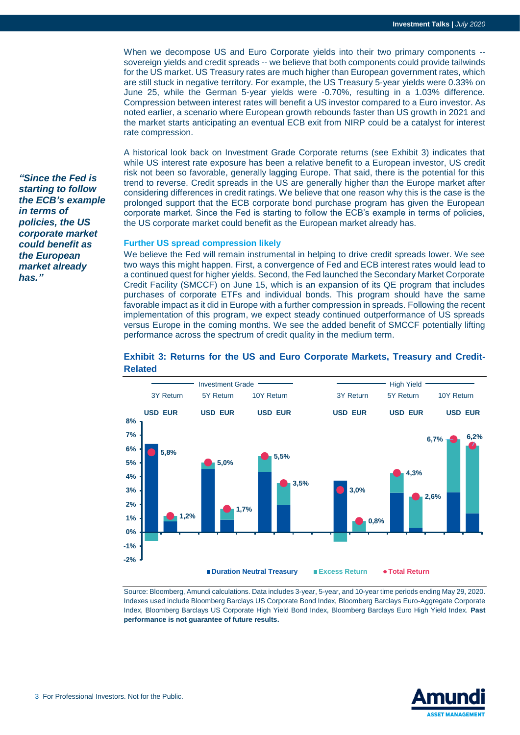When we decompose US and Euro Corporate yields into their two primary components - sovereign yields and credit spreads -- we believe that both components could provide tailwinds for the US market. US Treasury rates are much higher than European government rates, which are still stuck in negative territory. For example, the US Treasury 5-year yields were 0.33% on June 25, while the German 5-year yields were -0.70%, resulting in a 1.03% difference. Compression between interest rates will benefit a US investor compared to a Euro investor. As noted earlier, a scenario where European growth rebounds faster than US growth in 2021 and the market starts anticipating an eventual ECB exit from NIRP could be a catalyst for interest rate compression.

A historical look back on Investment Grade Corporate returns (see Exhibit 3) indicates that while US interest rate exposure has been a relative benefit to a European investor, US credit risk not been so favorable, generally lagging Europe. That said, there is the potential for this trend to reverse. Credit spreads in the US are generally higher than the Europe market after considering differences in credit ratings. We believe that one reason why this is the case is the prolonged support that the ECB corporate bond purchase program has given the European corporate market. Since the Fed is starting to follow the ECB's example in terms of policies, the US corporate market could benefit as the European market already has.

#### **Further US spread compression likely**

We believe the Fed will remain instrumental in helping to drive credit spreads lower. We see two ways this might happen. First, a convergence of Fed and ECB interest rates would lead to a continued quest for higher yields. Second, the Fed launched the Secondary Market Corporate Credit Facility (SMCCF) on June 15, which is an expansion of its QE program that includes purchases of corporate ETFs and individual bonds. This program should have the same favorable impact as it did in Europe with a further compression in spreads. Following the recent implementation of this program, we expect steady continued outperformance of US spreads versus Europe in the coming months. We see the added benefit of SMCCF potentially lifting performance across the spectrum of credit quality in the medium term.



#### **Exhibit 3: Returns for the US and Euro Corporate Markets, Treasury and Credit-Related**

Source: Bloomberg, Amundi calculations. Data includes 3-year, 5-year, and 10-year time periods ending May 29, 2020. Indexes used include Bloomberg Barclays US Corporate Bond Index, Bloomberg Barclays Euro-Aggregate Corporate Index, Bloomberg Barclays US Corporate High Yield Bond Index, Bloomberg Barclays Euro High Yield Index. **Past performance is not guarantee of future results.**



*"Since the Fed is starting to follow the ECB's example in terms of policies, the US corporate market could benefit as the European market already has."*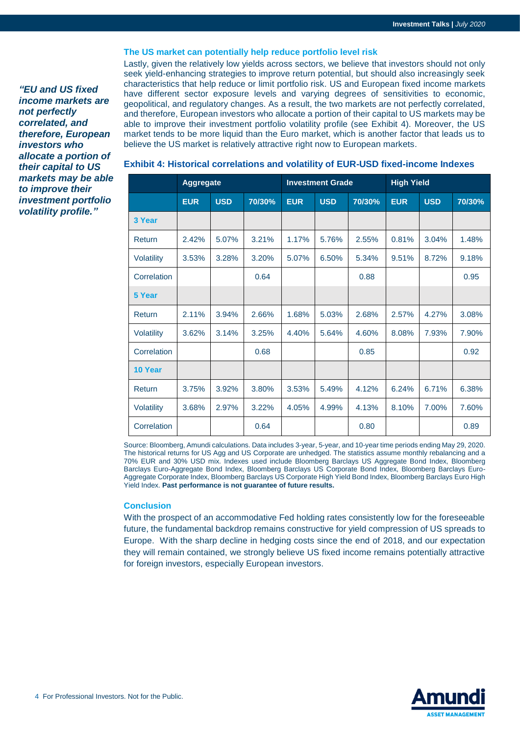#### **The US market can potentially help reduce portfolio level risk**

*"EU and US fixed income markets are not perfectly correlated, and therefore, European investors who allocate a portion of their capital to US markets may be able to improve their investment portfolio volatility profile."*

Lastly, given the relatively low yields across sectors, we believe that investors should not only seek yield-enhancing strategies to improve return potential, but should also increasingly seek characteristics that help reduce or limit portfolio risk. US and European fixed income markets have different sector exposure levels and varying degrees of sensitivities to economic, geopolitical, and regulatory changes. As a result, the two markets are not perfectly correlated, and therefore, European investors who allocate a portion of their capital to US markets may be able to improve their investment portfolio volatility profile (see Exhibit 4). Moreover, the US market tends to be more liquid than the Euro market, which is another factor that leads us to believe the US market is relatively attractive right now to European markets.

|             | <b>Aggregate</b> |            |        | <b>Investment Grade</b> |            |        | <b>High Yield</b> |            |        |
|-------------|------------------|------------|--------|-------------------------|------------|--------|-------------------|------------|--------|
|             | <b>EUR</b>       | <b>USD</b> | 70/30% | <b>EUR</b>              | <b>USD</b> | 70/30% | <b>EUR</b>        | <b>USD</b> | 70/30% |
| 3 Year      |                  |            |        |                         |            |        |                   |            |        |
| Return      | 2.42%            | 5.07%      | 3.21%  | 1.17%                   | 5.76%      | 2.55%  | 0.81%             | 3.04%      | 1.48%  |
| Volatility  | 3.53%            | 3.28%      | 3.20%  | 5.07%                   | 6.50%      | 5.34%  | 9.51%             | 8.72%      | 9.18%  |
| Correlation |                  |            | 0.64   |                         |            | 0.88   |                   |            | 0.95   |
| 5 Year      |                  |            |        |                         |            |        |                   |            |        |
| Return      | 2.11%            | 3.94%      | 2.66%  | 1.68%                   | 5.03%      | 2.68%  | 2.57%             | 4.27%      | 3.08%  |
| Volatility  | 3.62%            | 3.14%      | 3.25%  | 4.40%                   | 5.64%      | 4.60%  | 8.08%             | 7.93%      | 7.90%  |
| Correlation |                  |            | 0.68   |                         |            | 0.85   |                   |            | 0.92   |
| 10 Year     |                  |            |        |                         |            |        |                   |            |        |
| Return      | 3.75%            | 3.92%      | 3.80%  | 3.53%                   | 5.49%      | 4.12%  | 6.24%             | 6.71%      | 6.38%  |
| Volatility  | 3.68%            | 2.97%      | 3.22%  | 4.05%                   | 4.99%      | 4.13%  | 8.10%             | 7.00%      | 7.60%  |
| Correlation |                  |            | 0.64   |                         |            | 0.80   |                   |            | 0.89   |

**Exhibit 4: Historical correlations and volatility of EUR-USD fixed-income Indexes**

Source: Bloomberg, Amundi calculations. Data includes 3-year, 5-year, and 10-year time periods ending May 29, 2020. The historical returns for US Agg and US Corporate are unhedged. The statistics assume monthly rebalancing and a 70% EUR and 30% USD mix. Indexes used include Bloomberg Barclays US Aggregate Bond Index, Bloomberg Barclays Euro-Aggregate Bond Index, Bloomberg Barclays US Corporate Bond Index, Bloomberg Barclays Euro-Aggregate Corporate Index, Bloomberg Barclays US Corporate High Yield Bond Index, Bloomberg Barclays Euro High Yield Index. **Past performance is not guarantee of future results.**

#### **Conclusion**

With the prospect of an accommodative Fed holding rates consistently low for the foreseeable future, the fundamental backdrop remains constructive for yield compression of US spreads to Europe. With the sharp decline in hedging costs since the end of 2018, and our expectation they will remain contained, we strongly believe US fixed income remains potentially attractive for foreign investors, especially European investors.